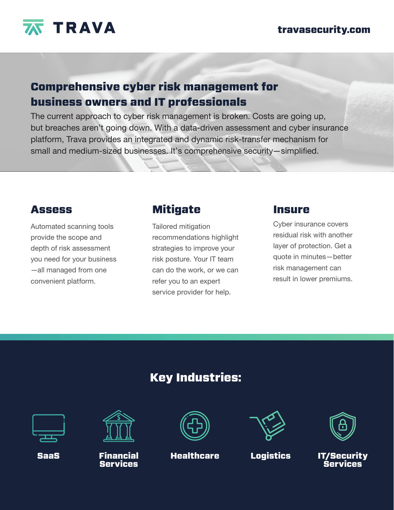

#### travasecurity.com

# Comprehensive cyber risk management for business owners and IT professionals

The current approach to cyber risk management is broken. Costs are going up, but breaches aren't going down. With a data-driven assessment and cyber insurance platform, Trava provides an integrated and dynamic risk-transfer mechanism for small and medium-sized businesses. It's comprehensive security—simplified.

## **Assess**

Automated scanning tools provide the scope and depth of risk assessment you need for your business —all managed from one convenient platform.

## **Mitigate**

Tailored mitigation recommendations highlight strategies to improve your risk posture. Your IT team can do the work, or we can refer you to an expert service provider for help.

### Insure

Cyber insurance covers residual risk with another layer of protection. Get a quote in minutes—better risk management can result in lower premiums.

# Key Industries:





Financial Services



SaaS Financial Healthcare Logistics





IT/Security Services